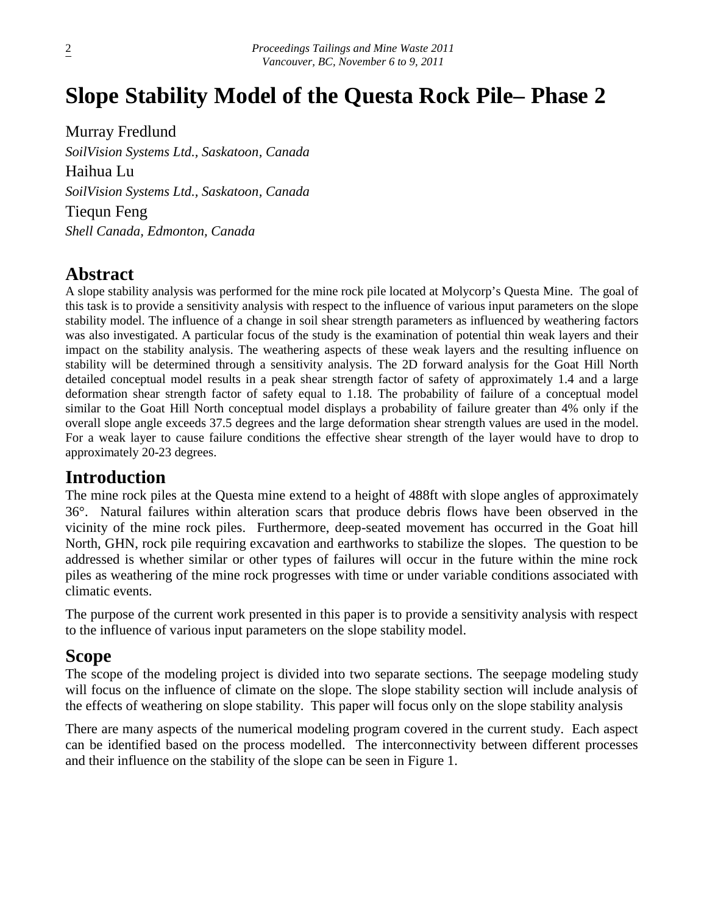# **Slope Stability Model of the Questa Rock Pile– Phase 2**

Murray Fredlund *SoilVision Systems Ltd., Saskatoon, Canada* Haihua Lu

*SoilVision Systems Ltd., Saskatoon, Canada*

Tiequn Feng *Shell Canada, Edmonton, Canada*

## **Abstract**

A slope stability analysis was performed for the mine rock pile located at Molycorp's Questa Mine. The goal of this task is to provide a sensitivity analysis with respect to the influence of various input parameters on the slope stability model. The influence of a change in soil shear strength parameters as influenced by weathering factors was also investigated. A particular focus of the study is the examination of potential thin weak layers and their impact on the stability analysis. The weathering aspects of these weak layers and the resulting influence on stability will be determined through a sensitivity analysis. The 2D forward analysis for the Goat Hill North detailed conceptual model results in a peak shear strength factor of safety of approximately 1.4 and a large deformation shear strength factor of safety equal to 1.18. The probability of failure of a conceptual model similar to the Goat Hill North conceptual model displays a probability of failure greater than 4% only if the overall slope angle exceeds 37.5 degrees and the large deformation shear strength values are used in the model. For a weak layer to cause failure conditions the effective shear strength of the layer would have to drop to approximately 20-23 degrees.

## **Introduction**

The mine rock piles at the Questa mine extend to a height of 488ft with slope angles of approximately 36°. Natural failures within alteration scars that produce debris flows have been observed in the vicinity of the mine rock piles. Furthermore, deep-seated movement has occurred in the Goat hill North, GHN, rock pile requiring excavation and earthworks to stabilize the slopes. The question to be addressed is whether similar or other types of failures will occur in the future within the mine rock piles as weathering of the mine rock progresses with time or under variable conditions associated with climatic events.

The purpose of the current work presented in this paper is to provide a sensitivity analysis with respect to the influence of various input parameters on the slope stability model.

## **Scope**

The scope of the modeling project is divided into two separate sections. The seepage modeling study will focus on the influence of climate on the slope. The slope stability section will include analysis of the effects of weathering on slope stability. This paper will focus only on the slope stability analysis

There are many aspects of the numerical modeling program covered in the current study. Each aspect can be identified based on the process modelled. The interconnectivity between different processes and their influence on the stability of the slope can be seen in Figure 1.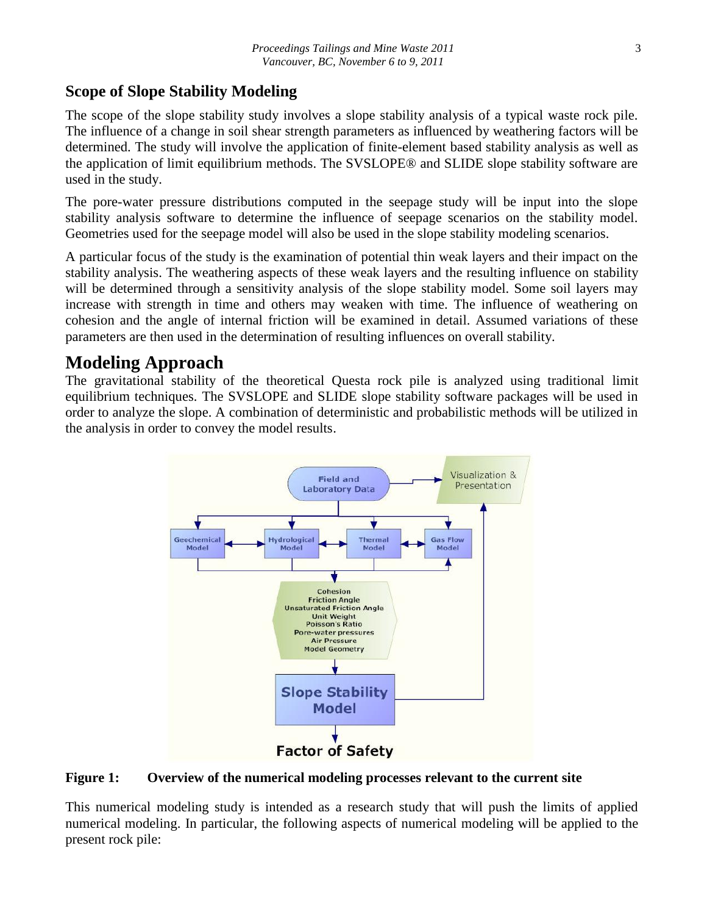## **Scope of Slope Stability Modeling**

The scope of the slope stability study involves a slope stability analysis of a typical waste rock pile. The influence of a change in soil shear strength parameters as influenced by weathering factors will be determined. The study will involve the application of finite-element based stability analysis as well as the application of limit equilibrium methods. The SVSLOPE® and SLIDE slope stability software are used in the study.

The pore-water pressure distributions computed in the seepage study will be input into the slope stability analysis software to determine the influence of seepage scenarios on the stability model. Geometries used for the seepage model will also be used in the slope stability modeling scenarios.

A particular focus of the study is the examination of potential thin weak layers and their impact on the stability analysis. The weathering aspects of these weak layers and the resulting influence on stability will be determined through a sensitivity analysis of the slope stability model. Some soil layers may increase with strength in time and others may weaken with time. The influence of weathering on cohesion and the angle of internal friction will be examined in detail. Assumed variations of these parameters are then used in the determination of resulting influences on overall stability.

## **Modeling Approach**

The gravitational stability of the theoretical Questa rock pile is analyzed using traditional limit equilibrium techniques. The SVSLOPE and SLIDE slope stability software packages will be used in order to analyze the slope. A combination of deterministic and probabilistic methods will be utilized in the analysis in order to convey the model results.



**Figure 1: Overview of the numerical modeling processes relevant to the current site**

This numerical modeling study is intended as a research study that will push the limits of applied numerical modeling. In particular, the following aspects of numerical modeling will be applied to the present rock pile: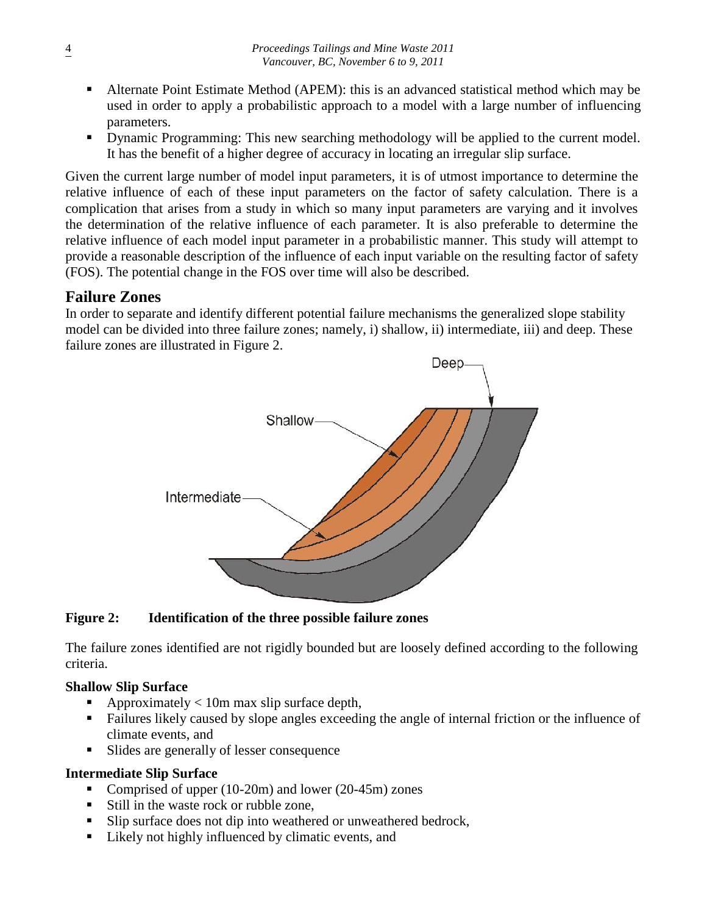- Alternate Point Estimate Method (APEM): this is an advanced statistical method which may be used in order to apply a probabilistic approach to a model with a large number of influencing parameters.
- Dynamic Programming: This new searching methodology will be applied to the current model. It has the benefit of a higher degree of accuracy in locating an irregular slip surface.

Given the current large number of model input parameters, it is of utmost importance to determine the relative influence of each of these input parameters on the factor of safety calculation. There is a complication that arises from a study in which so many input parameters are varying and it involves the determination of the relative influence of each parameter. It is also preferable to determine the relative influence of each model input parameter in a probabilistic manner. This study will attempt to provide a reasonable description of the influence of each input variable on the resulting factor of safety (FOS). The potential change in the FOS over time will also be described.

## **Failure Zones**

In order to separate and identify different potential failure mechanisms the generalized slope stability model can be divided into three failure zones; namely, i) shallow, ii) intermediate, iii) and deep. These failure zones are illustrated in Figure 2.



#### **Figure 2: Identification of the three possible failure zones**

The failure zones identified are not rigidly bounded but are loosely defined according to the following criteria.

#### **Shallow Slip Surface**

- Approximately  $< 10$ m max slip surface depth,
- Failures likely caused by slope angles exceeding the angle of internal friction or the influence of climate events, and
- In Slides are generally of lesser consequence

#### **Intermediate Slip Surface**

- Comprised of upper (10-20m) and lower (20-45m) zones
- Still in the waste rock or rubble zone.
- If Slip surface does not dip into weathered or unweathered bedrock,
- Likely not highly influenced by climatic events, and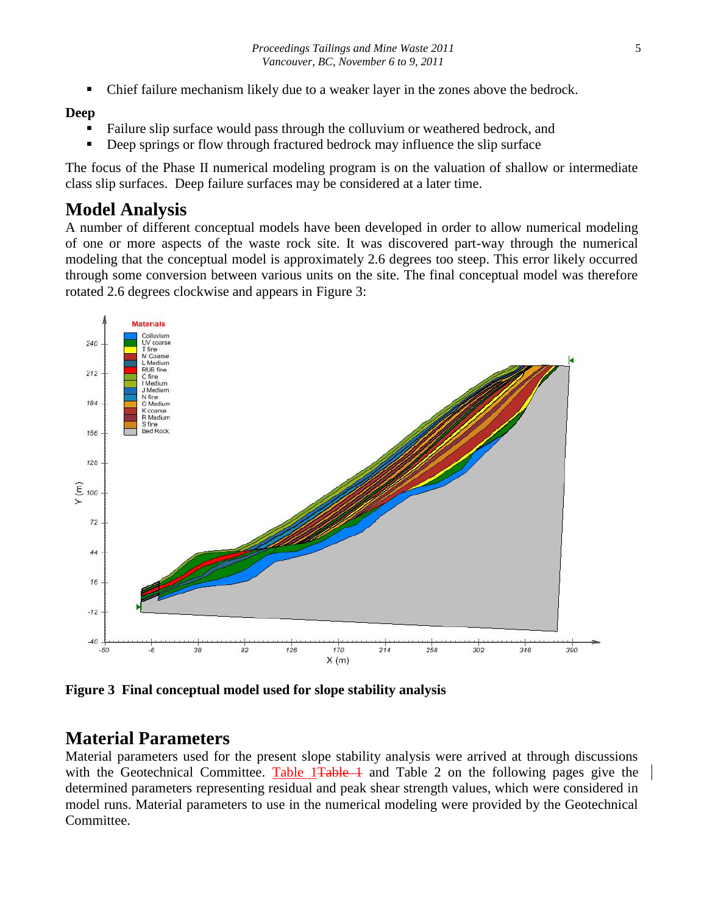Chief failure mechanism likely due to a weaker layer in the zones above the bedrock.

#### **Deep**

- Failure slip surface would pass through the colluvium or weathered bedrock, and
- Deep springs or flow through fractured bedrock may influence the slip surface

The focus of the Phase II numerical modeling program is on the valuation of shallow or intermediate class slip surfaces. Deep failure surfaces may be considered at a later time.

## **Model Analysis**

A number of different conceptual models have been developed in order to allow numerical modeling of one or more aspects of the waste rock site. It was discovered part-way through the numerical modeling that the conceptual model is approximately 2.6 degrees too steep. This error likely occurred through some conversion between various units on the site. The final conceptual model was therefore rotated 2.6 degrees clockwise and appears in Figure 3:



**Figure 3 Final conceptual model used for slope stability analysis**

## **Material Parameters**

Material parameters used for the present slope stability analysis were arrived at through discussions with the Geotechnical Committee. Table 1<del>Table 1</del> and Table 2 on the following pages give the determined parameters representing residual and peak shear strength values, which were considered in model runs. Material parameters to use in the numerical modeling were provided by the Geotechnical Committee.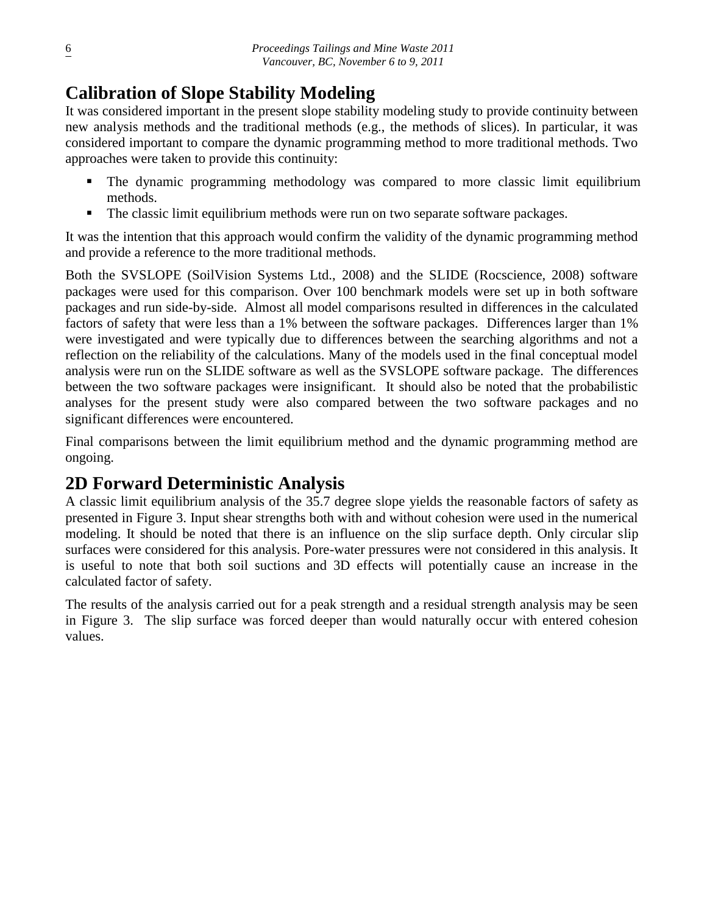# **Calibration of Slope Stability Modeling**

It was considered important in the present slope stability modeling study to provide continuity between new analysis methods and the traditional methods (e.g., the methods of slices). In particular, it was considered important to compare the dynamic programming method to more traditional methods. Two approaches were taken to provide this continuity:

- The dynamic programming methodology was compared to more classic limit equilibrium methods.
- The classic limit equilibrium methods were run on two separate software packages.

It was the intention that this approach would confirm the validity of the dynamic programming method and provide a reference to the more traditional methods.

Both the SVSLOPE (SoilVision Systems Ltd., 2008) and the SLIDE (Rocscience, 2008) software packages were used for this comparison. Over 100 benchmark models were set up in both software packages and run side-by-side. Almost all model comparisons resulted in differences in the calculated factors of safety that were less than a 1% between the software packages. Differences larger than 1% were investigated and were typically due to differences between the searching algorithms and not a reflection on the reliability of the calculations. Many of the models used in the final conceptual model analysis were run on the SLIDE software as well as the SVSLOPE software package. The differences between the two software packages were insignificant. It should also be noted that the probabilistic analyses for the present study were also compared between the two software packages and no significant differences were encountered.

Final comparisons between the limit equilibrium method and the dynamic programming method are ongoing.

## **2D Forward Deterministic Analysis**

A classic limit equilibrium analysis of the 35.7 degree slope yields the reasonable factors of safety as presented in Figure 3. Input shear strengths both with and without cohesion were used in the numerical modeling. It should be noted that there is an influence on the slip surface depth. Only circular slip surfaces were considered for this analysis. Pore-water pressures were not considered in this analysis. It is useful to note that both soil suctions and 3D effects will potentially cause an increase in the calculated factor of safety.

The results of the analysis carried out for a peak strength and a residual strength analysis may be seen in Figure 3. The slip surface was forced deeper than would naturally occur with entered cohesion values.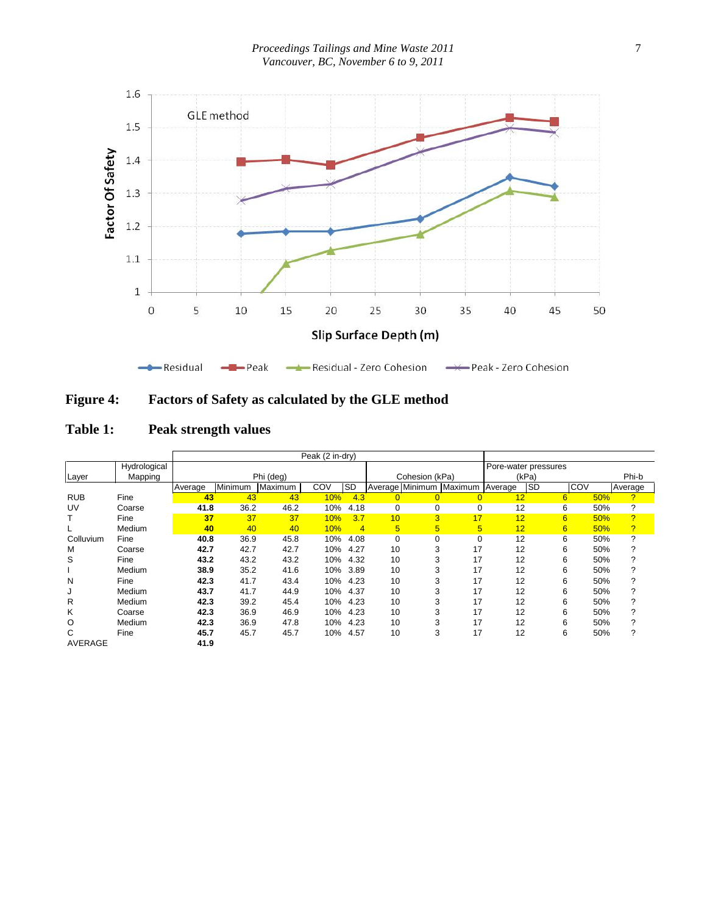*Proceedings Tailings and Mine Waste 2011 Vancouver, BC, November 6 to 9, 2011*



| <b>Figure 4:</b> | <b>Factors of Safety as calculated by the GLE method</b> |  |
|------------------|----------------------------------------------------------|--|
|                  |                                                          |  |

| Table 1: | Peak strength values |
|----------|----------------------|
|----------|----------------------|

|                |              | Peak (2 in-dry) |         |           |     |                |                |                |                                 |    |                      |     |     |                |
|----------------|--------------|-----------------|---------|-----------|-----|----------------|----------------|----------------|---------------------------------|----|----------------------|-----|-----|----------------|
|                | Hydrological |                 |         |           |     |                |                |                |                                 |    | Pore-water pressures |     |     |                |
| Layer          | Mapping      |                 |         | Phi (deg) |     |                |                | Cohesion (kPa) |                                 |    | (kPa)                |     |     | Phi-b          |
|                |              | Average         | Minimum | Maximum   | COV | <b>SD</b>      |                |                | Average Minimum Maximum Average |    | <b>SD</b>            | COV |     | Average        |
| <b>RUB</b>     | Fine         | 43              | 43      | 43        | 10% | 4.3            | $\overline{0}$ | $\overline{0}$ | $\overline{0}$                  | 12 |                      | 6   | 50% | $\overline{?}$ |
| UV             | Coarse       | 41.8            | 36.2    | 46.2      | 10% | 4.18           | 0              | 0              | 0                               | 12 |                      | 6   | 50% | ?              |
|                | Fine         | 37              | 37      | 37        | 10% | 3.7            | 10             | 3              | 17                              | 12 |                      | 6   | 50% | $\overline{?}$ |
|                | Medium       | 40              | 40      | 40        | 10% | $\overline{4}$ | 5 <sup>5</sup> | 5              | 5                               | 12 |                      | 6   | 50% | $\overline{?}$ |
| Colluvium      | Fine         | 40.8            | 36.9    | 45.8      | 10% | 4.08           | $\mathbf 0$    | 0              | 0                               | 12 |                      | 6   | 50% | ?              |
| M              | Coarse       | 42.7            | 42.7    | 42.7      | 10% | 4.27           | 10             |                | 17                              | 12 |                      | 6   | 50% | 2              |
| S              | Fine         | 43.2            | 43.2    | 43.2      | 10% | 4.32           | 10             |                | 17                              | 12 |                      | 6   | 50% | 2              |
|                | Medium       | 38.9            | 35.2    | 41.6      | 10% | 3.89           | 10             |                | 17                              | 12 |                      | 6   | 50% | 2              |
| N              | Fine         | 42.3            | 41.7    | 43.4      | 10% | 4.23           | 10             |                | 17                              | 12 |                      | 6   | 50% | ?              |
| J              | Medium       | 43.7            | 41.7    | 44.9      | 10% | 4.37           | 10             |                | 17                              | 12 |                      | 6   | 50% | ?              |
| R              | Medium       | 42.3            | 39.2    | 45.4      | 10% | 4.23           | 10             |                | 17                              | 12 |                      | 6   | 50% | 2              |
| Κ              | Coarse       | 42.3            | 36.9    | 46.9      | 10% | 4.23           | 10             |                | 17                              | 12 |                      | 6   | 50% | 2              |
| O              | Medium       | 42.3            | 36.9    | 47.8      | 10% | 4.23           | 10             |                | 17                              | 12 |                      | 6   | 50% | 2              |
| С              | Fine         | 45.7            | 45.7    | 45.7      | 10% | 4.57           | 10             | 3              | 17                              | 12 |                      | 6   | 50% | ?              |
| <b>AVERAGE</b> |              | 41.9            |         |           |     |                |                |                |                                 |    |                      |     |     |                |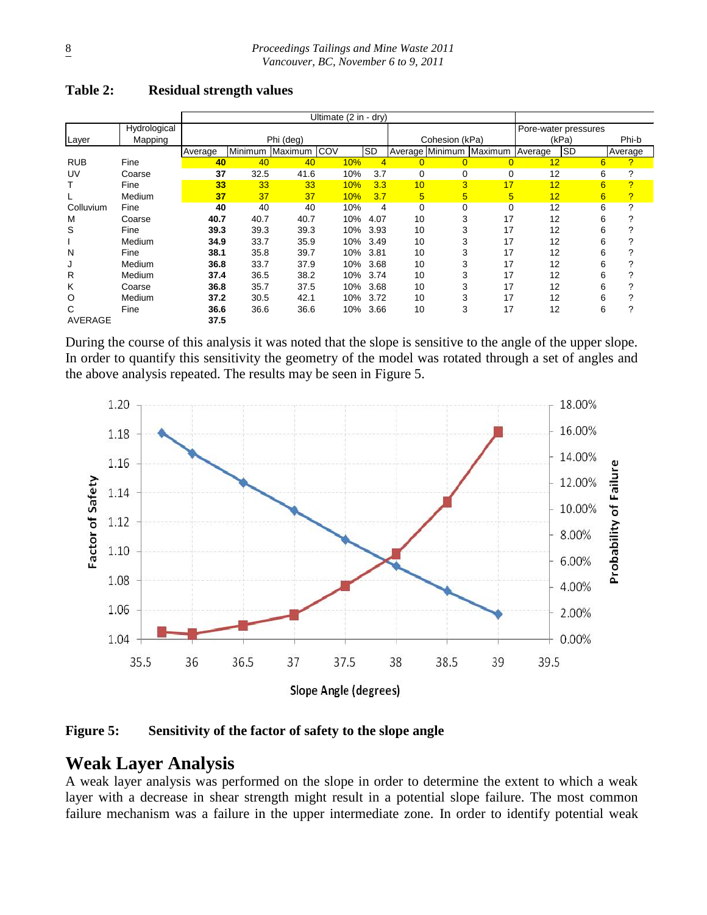|                |              |         |         |             | Ultimate (2 in - dry) |      |                |                |                         |                      |            |         |                |
|----------------|--------------|---------|---------|-------------|-----------------------|------|----------------|----------------|-------------------------|----------------------|------------|---------|----------------|
|                | Hydrological |         |         |             |                       |      |                |                |                         | Pore-water pressures |            |         |                |
| Layer          | Mapping      |         |         | Phi (deg)   |                       |      |                | Cohesion (kPa) |                         |                      | (kPa)      |         | Phi-b          |
|                |              | Average | Minimum | Maximum COV |                       | SD   |                |                | Average Minimum Maximum | <b>Average</b>       | <b>ISD</b> | Average |                |
| <b>RUB</b>     | Fine         | 40      | 40      | 40          | 10%                   | 4    | $\overline{0}$ |                | $\Omega$                | 12                   |            | 6       | 2              |
| UV             | Coarse       | 37      | 32.5    | 41.6        | 10%                   | 3.7  | 0              | $\mathbf 0$    | $\mathbf 0$             | 12                   |            | 6       | ?              |
|                | Fine         | 33      | 33      | 33          | 10%                   | 3.3  | 10             | 3              | 17                      | 12                   |            | 6       | $\overline{?}$ |
|                | Medium       | 37      | 37      | 37          | 10%                   | 3.7  | 5              | 5              | 5                       | 12                   |            | 6       | ?              |
| Colluvium      | Fine         | 40      | 40      | 40          | 10%                   | 4    | $\mathbf 0$    | $\mathbf 0$    | $\mathbf 0$             | 12                   |            | 6       | 2              |
| M              | Coarse       | 40.7    | 40.7    | 40.7        | 10%                   | 4.07 | 10             | 3              | 17                      | 12                   |            | 6       | 2              |
| S              | Fine         | 39.3    | 39.3    | 39.3        | 10%                   | 3.93 | 10             | 3              | 17                      | 12                   |            | 6       | 2              |
|                | Medium       | 34.9    | 33.7    | 35.9        | 10%                   | 3.49 | 10             | 3              | 17                      | 12                   |            | 6       |                |
| N              | Fine         | 38.1    | 35.8    | 39.7        | 10%                   | 3.81 | 10             | 3              | 17                      | 12                   |            | 6       | ◠              |
| J              | Medium       | 36.8    | 33.7    | 37.9        | 10%                   | 3.68 | 10             | 3              | 17                      | 12                   |            | 6       | っ              |
| R              | Medium       | 37.4    | 36.5    | 38.2        | 10%                   | 3.74 | 10             | 3              | 17                      | 12                   |            | 6       |                |
| Κ              | Coarse       | 36.8    | 35.7    | 37.5        | 10%                   | 3.68 | 10             | 3              | 17                      | 12                   |            | 6       |                |
| O              | Medium       | 37.2    | 30.5    | 42.1        | 10%                   | 3.72 | 10             | 3              | 17                      | 12                   |            | 6       |                |
| С              | Fine         | 36.6    | 36.6    | 36.6        | 10%                   | 3.66 | 10             | 3              | 17                      | 12                   |            | 6       | ?              |
| <b>AVERAGE</b> |              | 37.5    |         |             |                       |      |                |                |                         |                      |            |         |                |

#### **Table 2: Residual strength values**

During the course of this analysis it was noted that the slope is sensitive to the angle of the upper slope. In order to quantify this sensitivity the geometry of the model was rotated through a set of angles and the above analysis repeated. The results may be seen in Figure 5.



**Figure 5: Sensitivity of the factor of safety to the slope angle**

## **Weak Layer Analysis**

A weak layer analysis was performed on the slope in order to determine the extent to which a weak layer with a decrease in shear strength might result in a potential slope failure. The most common failure mechanism was a failure in the upper intermediate zone. In order to identify potential weak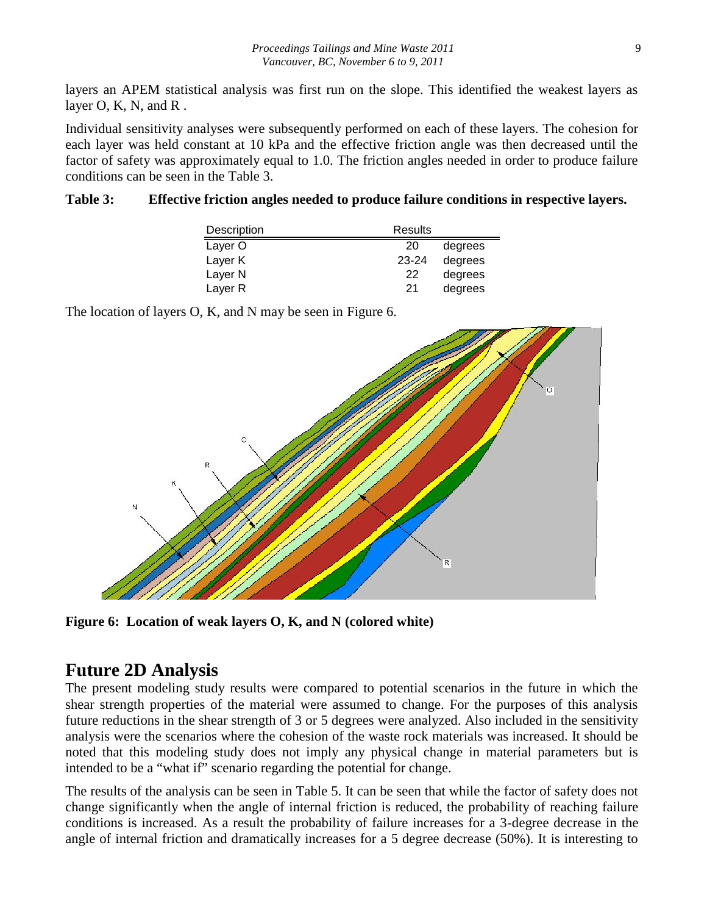layers an APEM statistical analysis was first run on the slope. This identified the weakest layers as layer  $O$ , K, N, and R.

Individual sensitivity analyses were subsequently performed on each of these layers. The cohesion for each layer was held constant at 10 kPa and the effective friction angle was then decreased until the factor of safety was approximately equal to 1.0. The friction angles needed in order to produce failure conditions can be seen in the Table 3.

#### **Table 3: Effective friction angles needed to produce failure conditions in respective layers.**

| Description        | Results |         |
|--------------------|---------|---------|
| Layer O            | 20      | degrees |
| Layer K            | 23-24   | degrees |
| Layer <sub>N</sub> | 22      | degrees |
| Layer R            | 21      | degrees |

The location of layers O, K, and N may be seen in Figure 6.



**Figure 6: Location of weak layers O, K, and N (colored white)**

## **Future 2D Analysis**

The present modeling study results were compared to potential scenarios in the future in which the shear strength properties of the material were assumed to change. For the purposes of this analysis future reductions in the shear strength of 3 or 5 degrees were analyzed. Also included in the sensitivity analysis were the scenarios where the cohesion of the waste rock materials was increased. It should be noted that this modeling study does not imply any physical change in material parameters but is intended to be a "what if" scenario regarding the potential for change.

The results of the analysis can be seen in Table 5. It can be seen that while the factor of safety does not change significantly when the angle of internal friction is reduced, the probability of reaching failure conditions is increased. As a result the probability of failure increases for a 3-degree decrease in the angle of internal friction and dramatically increases for a 5 degree decrease (50%). It is interesting to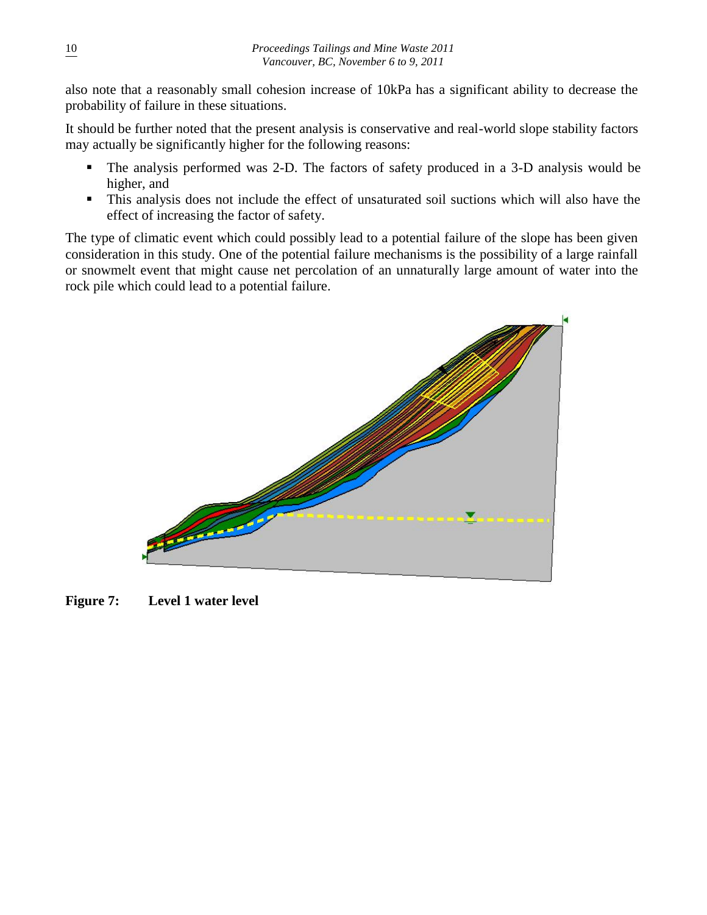also note that a reasonably small cohesion increase of 10kPa has a significant ability to decrease the probability of failure in these situations.

It should be further noted that the present analysis is conservative and real-world slope stability factors may actually be significantly higher for the following reasons:

- The analysis performed was 2-D. The factors of safety produced in a 3-D analysis would be higher, and
- This analysis does not include the effect of unsaturated soil suctions which will also have the effect of increasing the factor of safety.

The type of climatic event which could possibly lead to a potential failure of the slope has been given consideration in this study. One of the potential failure mechanisms is the possibility of a large rainfall or snowmelt event that might cause net percolation of an unnaturally large amount of water into the rock pile which could lead to a potential failure.



**Figure 7: Level 1 water level**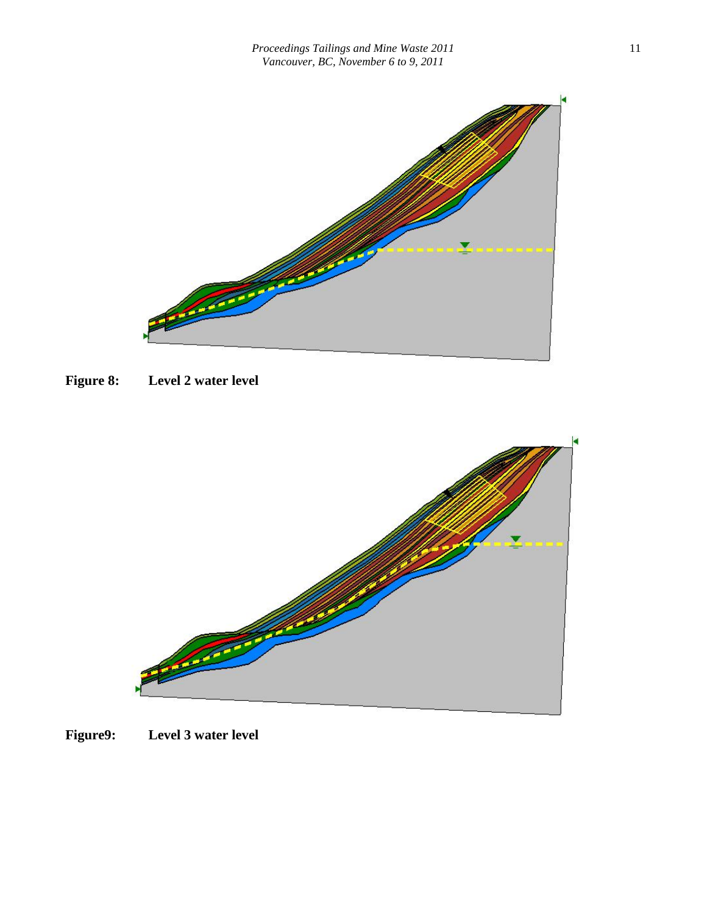

**Figure 8: Level 2 water level**



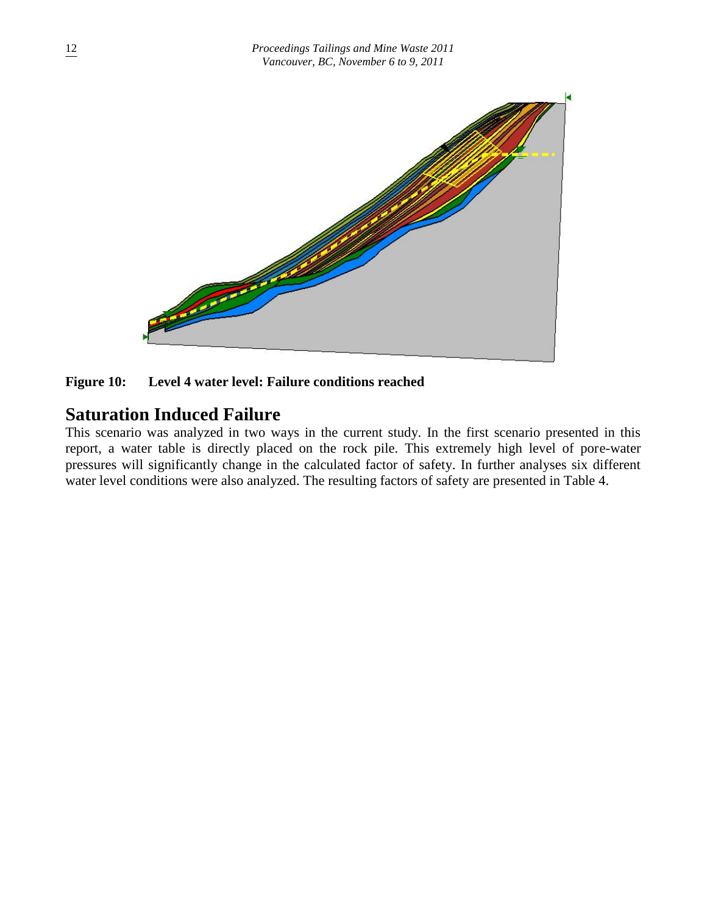

**Figure 10: Level 4 water level: Failure conditions reached**

## **Saturation Induced Failure**

This scenario was analyzed in two ways in the current study. In the first scenario presented in this report, a water table is directly placed on the rock pile. This extremely high level of pore-water pressures will significantly change in the calculated factor of safety. In further analyses six different water level conditions were also analyzed. The resulting factors of safety are presented in Table 4.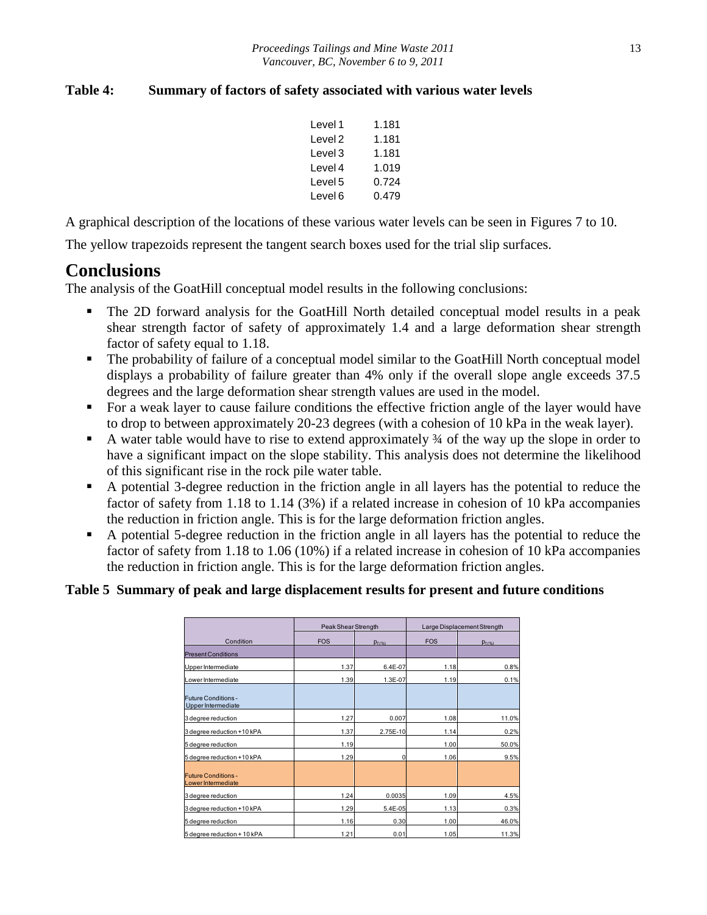#### **Table 4: Summary of factors of safety associated with various water levels**

| Level 1 | 1.181 |
|---------|-------|
| Level 2 | 1.181 |
| Level 3 | 1.181 |
| Level 4 | 1.019 |
| Level 5 | 0.724 |
| Level 6 | 0.479 |

A graphical description of the locations of these various water levels can be seen in Figures 7 to 10.

The yellow trapezoids represent the tangent search boxes used for the trial slip surfaces.

## **Conclusions**

The analysis of the GoatHill conceptual model results in the following conclusions:

- The 2D forward analysis for the GoatHill North detailed conceptual model results in a peak shear strength factor of safety of approximately 1.4 and a large deformation shear strength factor of safety equal to 1.18.
- The probability of failure of a conceptual model similar to the GoatHill North conceptual model displays a probability of failure greater than 4% only if the overall slope angle exceeds 37.5 degrees and the large deformation shear strength values are used in the model.
- For a weak layer to cause failure conditions the effective friction angle of the layer would have to drop to between approximately 20-23 degrees (with a cohesion of 10 kPa in the weak layer).
- A water table would have to rise to extend approximately  $\frac{3}{4}$  of the way up the slope in order to have a significant impact on the slope stability. This analysis does not determine the likelihood of this significant rise in the rock pile water table.
- A potential 3-degree reduction in the friction angle in all layers has the potential to reduce the factor of safety from 1.18 to 1.14 (3%) if a related increase in cohesion of 10 kPa accompanies the reduction in friction angle. This is for the large deformation friction angles.
- A potential 5-degree reduction in the friction angle in all layers has the potential to reduce the factor of safety from 1.18 to 1.06 (10%) if a related increase in cohesion of 10 kPa accompanies the reduction in friction angle. This is for the large deformation friction angles.

#### **Table 5 Summary of peak and large displacement results for present and future conditions**

|                                                  | Peak Shear Strength |             | Large Displacement Strength |             |  |  |
|--------------------------------------------------|---------------------|-------------|-----------------------------|-------------|--|--|
| Condition                                        | <b>FOS</b>          | $p_{f(\%)}$ | <b>FOS</b>                  | $p_{f(96)}$ |  |  |
| <b>Present Conditions</b>                        |                     |             |                             |             |  |  |
| Upper Intermediate                               | 1.37                | 6.4E-07     | 1.18                        | 0.8%        |  |  |
| Lower Intermediate                               | 1.39                | 1.3E-07     | 1.19                        | 0.1%        |  |  |
| <b>Future Conditions-</b><br>Upper Intermediate  |                     |             |                             |             |  |  |
| 3 degree reduction                               | 1.27                | 0.007       | 1.08                        | 11.0%       |  |  |
| 3 degree reduction +10 kPA                       | 1.37                | 2.75E-10    | 1.14                        | 0.2%        |  |  |
| 5 degree reduction                               | 1.19                |             | 1.00                        | 50.0%       |  |  |
| 5 degree reduction +10 kPA                       | 1.29                | 0           | 1.06                        | 9.5%        |  |  |
| <b>Future Conditions -</b><br>Lower Intermediate |                     |             |                             |             |  |  |
| 3 degree reduction                               | 1.24                | 0.0035      | 1.09                        | 4.5%        |  |  |
| 3 degree reduction +10 kPA                       | 1.29                | 5.4E-05     | 1.13                        | 0.3%        |  |  |
| 5 degree reduction                               | 1.16                | 0.30        | 1.00                        | 46.0%       |  |  |
| 5 degree reduction + 10 kPA                      | 1.21                | 0.01        | 1.05                        | 11.3%       |  |  |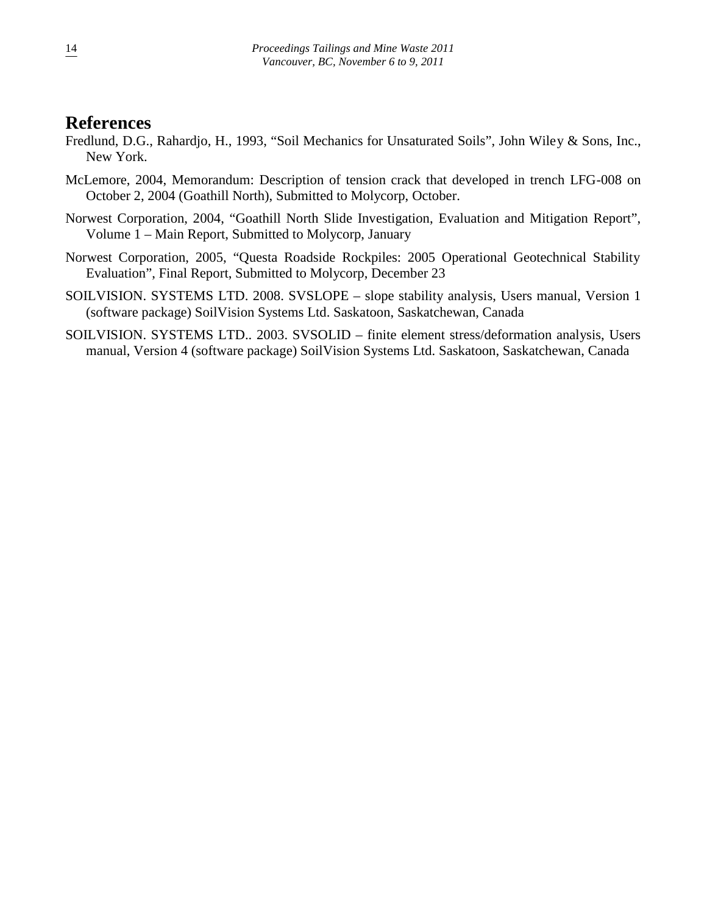## **References**

- Fredlund, D.G., Rahardjo, H., 1993, "Soil Mechanics for Unsaturated Soils", John Wiley & Sons, Inc., New York.
- McLemore, 2004, Memorandum: Description of tension crack that developed in trench LFG-008 on October 2, 2004 (Goathill North), Submitted to Molycorp, October.
- Norwest Corporation, 2004, "Goathill North Slide Investigation, Evaluation and Mitigation Report", Volume 1 – Main Report, Submitted to Molycorp, January
- Norwest Corporation, 2005, "Questa Roadside Rockpiles: 2005 Operational Geotechnical Stability Evaluation", Final Report, Submitted to Molycorp, December 23
- SOILVISION. SYSTEMS LTD. 2008. SVSLOPE slope stability analysis, Users manual, Version 1 (software package) SoilVision Systems Ltd. Saskatoon, Saskatchewan, Canada
- SOILVISION. SYSTEMS LTD.. 2003. SVSOLID finite element stress/deformation analysis, Users manual, Version 4 (software package) SoilVision Systems Ltd. Saskatoon, Saskatchewan, Canada